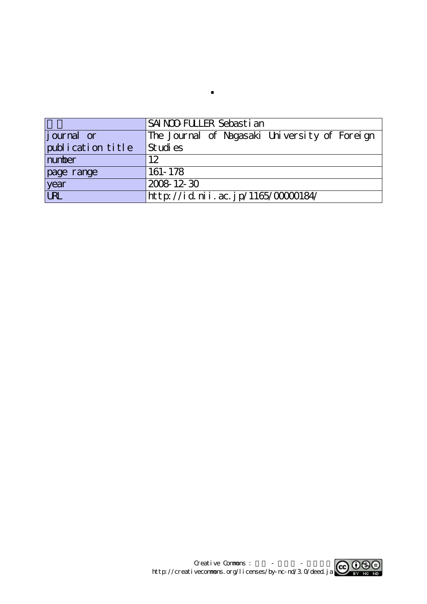|                    | ISAI NOO FULLER Sebasti an                    |  |  |  |
|--------------------|-----------------------------------------------|--|--|--|
| <i>j</i> ournal or | The Journal of Nagasaki University of Foreign |  |  |  |
| publication title  | Studies                                       |  |  |  |
| number             | 12                                            |  |  |  |
| page range         | 161-178                                       |  |  |  |
| year<br>URL        | 2008 12 30                                    |  |  |  |
|                    | http://id.nii.ac.jp/1165/00000184/            |  |  |  |

**.**

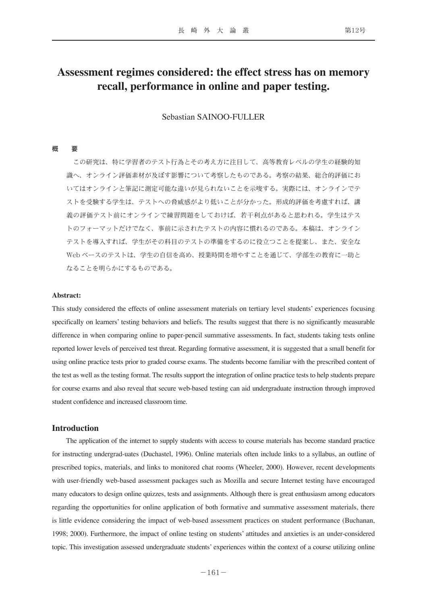# **Assessment regimes considered: the effect stress has on memory recall, performance in online and paper testing.**

# Sebastian SAINOO-FULLER

#### 概 要

 この研究は、特に学習者のテスト行為とその考え方に注目して、高等教育レベルの学生の経験的知 識へ、オンライン評価素材が及ぼす影響について考察したものである。考察の結果、総合的評価にお いてはオンラインと筆記に測定可能な違いが見られないことを示唆する。実際には、オンラインでテ ストを受験する学生は、テストへの脅威感がより低いことが分かった。形成的評価を考慮すれば、講 義の評価テスト前にオンラインで練習問題をしておけば、若干利点があると思われる。学生はテス トのフォーマットだけでなく、事前に示されたテストの内容に慣れるのである。本稿は、オンライン テストを導入すれば、学生がその科目のテストの準備をするのに役立つことを提案し、また、安全な Web ベースのテストは、学生の自信を高め、授業時間を増やすことを通じて、学部生の教育に一助と なることを明らかにするものである。

#### **Abstract:**

This study considered the effects of online assessment materials on tertiary level students' experiences focusing specifically on learners' testing behaviors and beliefs. The results suggest that there is no significantly measurable difference in when comparing online to paper-pencil summative assessments. In fact, students taking tests online reported lower levels of perceived test threat. Regarding formative assessment, it is suggested that a small benefit for using online practice tests prior to graded course exams. The students become familiar with the prescribed content of the test as well as the testing format. The results support the integration of online practice tests to help students prepare for course exams and also reveal that secure web-based testing can aid undergraduate instruction through improved student confidence and increased classroom time.

#### **Introduction**

The application of the internet to supply students with access to course materials has become standard practice for instructing undergrad-uates (Duchastel, 1996). Online materials often include links to a syllabus, an outline of prescribed topics, materials, and links to monitored chat rooms (Wheeler, 2000). However, recent developments with user-friendly web-based assessment packages such as Mozilla and secure Internet testing have encouraged many educators to design online quizzes, tests and assignments. Although there is great enthusiasm among educators regarding the opportunities for online application of both formative and summative assessment materials, there is little evidence considering the impact of web-based assessment practices on student performance (Buchanan, 1998; 2000). Furthermore, the impact of online testing on students' attitudes and anxieties is an under-considered topic. This investigation assessed undergraduate students' experiences within the context of a course utilizing online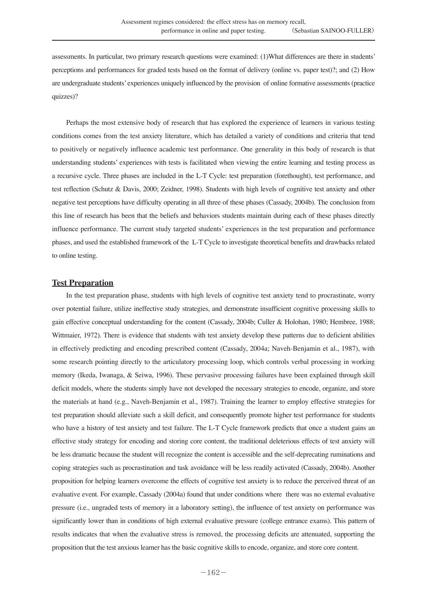assessments. In particular, two primary research questions were examined: (1)What differences are there in students' perceptions and performances for graded tests based on the format of delivery (online vs. paper test)?; and (2) How are undergraduate students' experiences uniquely influenced by the provision of online formative assessments (practice quizzes)?

Perhaps the most extensive body of research that has explored the experience of learners in various testing conditions comes from the test anxiety literature, which has detailed a variety of conditions and criteria that tend to positively or negatively influence academic test performance. One generality in this body of research is that understanding students' experiences with tests is facilitated when viewing the entire learning and testing process as a recursive cycle. Three phases are included in the L-T Cycle: test preparation (forethought), test performance, and test reflection (Schutz & Davis, 2000; Zeidner, 1998). Students with high levels of cognitive test anxiety and other negative test perceptions have difficulty operating in all three of these phases (Cassady, 2004b). The conclusion from this line of research has been that the beliefs and behaviors students maintain during each of these phases directly influence performance. The current study targeted students' experiences in the test preparation and performance phases, and used the established framework of the L-T Cycle to investigate theoretical benefits and drawbacks related to online testing.

## **Test Preparation**

In the test preparation phase, students with high levels of cognitive test anxiety tend to procrastinate, worry over potential failure, utilize ineffective study strategies, and demonstrate insufficient cognitive processing skills to gain effective conceptual understanding for the content (Cassady, 2004b; Culler & Holohan, 1980; Hembree, 1988; Wittmaier, 1972). There is evidence that students with test anxiety develop these patterns due to deficient abilities in effectively predicting and encoding prescribed content (Cassady, 2004a; Naveh-Benjamin et al., 1987), with some research pointing directly to the articulatory processing loop, which controls verbal processing in working memory (Ikeda, Iwanaga, & Seiwa, 1996). These pervasive processing failures have been explained through skill deficit models, where the students simply have not developed the necessary strategies to encode, organize, and store the materials at hand (e.g., Naveh-Benjamin et al., 1987). Training the learner to employ effective strategies for test preparation should alleviate such a skill deficit, and consequently promote higher test performance for students who have a history of test anxiety and test failure. The L-T Cycle framework predicts that once a student gains an effective study strategy for encoding and storing core content, the traditional deleterious effects of test anxiety will be less dramatic because the student will recognize the content is accessible and the self-deprecating ruminations and coping strategies such as procrastination and task avoidance will be less readily activated (Cassady, 2004b). Another proposition for helping learners overcome the effects of cognitive test anxiety is to reduce the perceived threat of an evaluative event. For example, Cassady (2004a) found that under conditions where there was no external evaluative pressure (i.e., ungraded tests of memory in a laboratory setting), the influence of test anxiety on performance was significantly lower than in conditions of high external evaluative pressure (college entrance exams). This pattern of results indicates that when the evaluative stress is removed, the processing deficits are attenuated, supporting the proposition that the test anxious learner has the basic cognitive skills to encode, organize, and store core content.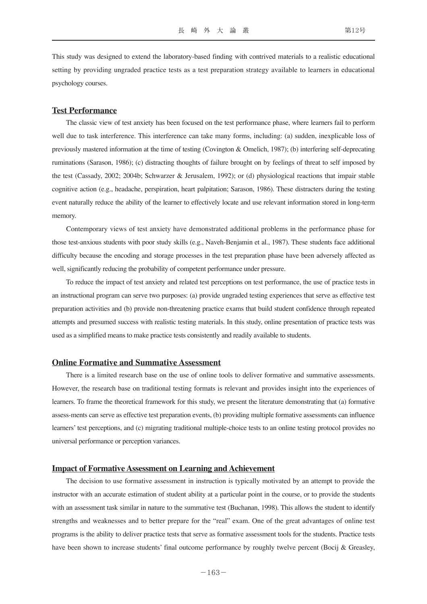This study was designed to extend the laboratory-based finding with contrived materials to a realistic educational setting by providing ungraded practice tests as a test preparation strategy available to learners in educational psychology courses.

## **Test Performance**

The classic view of test anxiety has been focused on the test performance phase, where learners fail to perform well due to task interference. This interference can take many forms, including: (a) sudden, inexplicable loss of previously mastered information at the time of testing (Covington & Omelich, 1987); (b) interfering self-deprecating ruminations (Sarason, 1986); (c) distracting thoughts of failure brought on by feelings of threat to self imposed by the test (Cassady, 2002; 2004b; Schwarzer & Jerusalem, 1992); or (d) physiological reactions that impair stable cognitive action (e.g., headache, perspiration, heart palpitation; Sarason, 1986). These distracters during the testing event naturally reduce the ability of the learner to effectively locate and use relevant information stored in long-term memory.

Contemporary views of test anxiety have demonstrated additional problems in the performance phase for those test-anxious students with poor study skills (e.g., Naveh-Benjamin et al., 1987). These students face additional difficulty because the encoding and storage processes in the test preparation phase have been adversely affected as well, significantly reducing the probability of competent performance under pressure.

To reduce the impact of test anxiety and related test perceptions on test performance, the use of practice tests in an instructional program can serve two purposes: (a) provide ungraded testing experiences that serve as effective test preparation activities and (b) provide non-threatening practice exams that build student confidence through repeated attempts and presumed success with realistic testing materials. In this study, online presentation of practice tests was used as a simplified means to make practice tests consistently and readily available to students.

#### **Online Formative and Summative Assessment**

There is a limited research base on the use of online tools to deliver formative and summative assessments. However, the research base on traditional testing formats is relevant and provides insight into the experiences of learners. To frame the theoretical framework for this study, we present the literature demonstrating that (a) formative assess-ments can serve as effective test preparation events, (b) providing multiple formative assessments can influence learners' test perceptions, and (c) migrating traditional multiple-choice tests to an online testing protocol provides no universal performance or perception variances.

#### **Impact of Formative Assessment on Learning and Achievement**

The decision to use formative assessment in instruction is typically motivated by an attempt to provide the instructor with an accurate estimation of student ability at a particular point in the course, or to provide the students with an assessment task similar in nature to the summative test (Buchanan, 1998). This allows the student to identify strengths and weaknesses and to better prepare for the "real" exam. One of the great advantages of online test programs is the ability to deliver practice tests that serve as formative assessment tools for the students. Practice tests have been shown to increase students' final outcome performance by roughly twelve percent (Bocij & Greasley,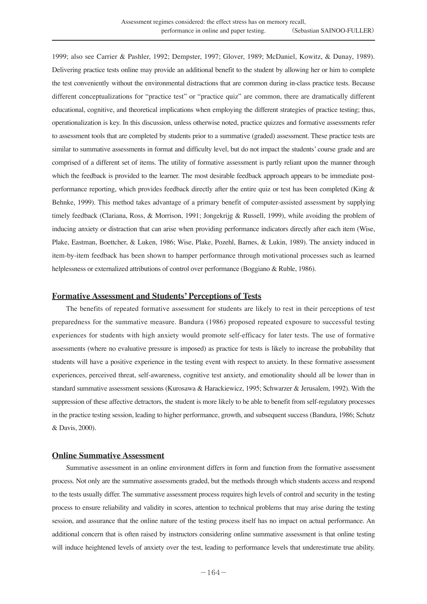1999; also see Carrier & Pashler, 1992; Dempster, 1997; Glover, 1989; McDaniel, Kowitz, & Dunay, 1989). Delivering practice tests online may provide an additional benefit to the student by allowing her or him to complete the test conveniently without the environmental distractions that are common during in-class practice tests. Because different conceptualizations for "practice test" or "practice quiz" are common, there are dramatically different educational, cognitive, and theoretical implications when employing the different strategies of practice testing; thus, operationalization is key. In this discussion, unless otherwise noted, practice quizzes and formative assessments refer to assessment tools that are completed by students prior to a summative (graded) assessment. These practice tests are similar to summative assessments in format and difficulty level, but do not impact the students' course grade and are comprised of a different set of items. The utility of formative assessment is partly reliant upon the manner through which the feedback is provided to the learner. The most desirable feedback approach appears to be immediate postperformance reporting, which provides feedback directly after the entire quiz or test has been completed (King & Behnke, 1999). This method takes advantage of a primary benefit of computer-assisted assessment by supplying timely feedback (Clariana, Ross, & Morrison, 1991; Jongekrijg & Russell, 1999), while avoiding the problem of inducing anxiety or distraction that can arise when providing performance indicators directly after each item (Wise, Plake, Eastman, Boettcher, & Luken, 1986; Wise, Plake, Pozehl, Barnes, & Lukin, 1989). The anxiety induced in item-by-item feedback has been shown to hamper performance through motivational processes such as learned helplessness or externalized attributions of control over performance (Boggiano & Ruble, 1986).

## **Formative Assessment and Students' Perceptions of Tests**

The benefits of repeated formative assessment for students are likely to rest in their perceptions of test preparedness for the summative measure. Bandura (1986) proposed repeated exposure to successful testing experiences for students with high anxiety would promote self-efficacy for later tests. The use of formative assessments (where no evaluative pressure is imposed) as practice for tests is likely to increase the probability that students will have a positive experience in the testing event with respect to anxiety. In these formative assessment experiences, perceived threat, self-awareness, cognitive test anxiety, and emotionality should all be lower than in standard summative assessment sessions (Kurosawa & Harackiewicz, 1995; Schwarzer & Jerusalem, 1992). With the suppression of these affective detractors, the student is more likely to be able to benefit from self-regulatory processes in the practice testing session, leading to higher performance, growth, and subsequent success (Bandura, 1986; Schutz & Davis, 2000).

## **Online Summative Assessment**

Summative assessment in an online environment differs in form and function from the formative assessment process. Not only are the summative assessments graded, but the methods through which students access and respond to the tests usually differ. The summative assessment process requires high levels of control and security in the testing process to ensure reliability and validity in scores, attention to technical problems that may arise during the testing session, and assurance that the online nature of the testing process itself has no impact on actual performance. An additional concern that is often raised by instructors considering online summative assessment is that online testing will induce heightened levels of anxiety over the test, leading to performance levels that underestimate true ability.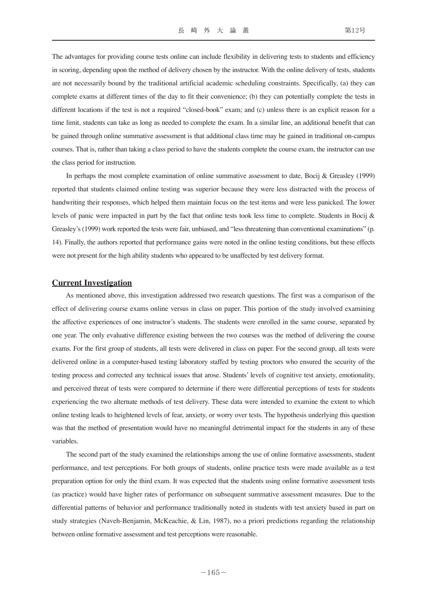The advantages for providing course tests online can include flexibility in delivering tests to students and efficiency in scoring, depending upon the method of delivery chosen by the instructor. With the online delivery of tests, students are not necessarily bound by the traditional artificial academic scheduling constraints. Specifically, (a) they can complete exams at different times of the day to fit their convenience; (b) they can potentially complete the tests in different locations if the test is not a required "closed-book" exam; and (c) unless there is an explicit reason for a time limit, students can take as long as needed to complete the exam. In a similar line, an additional benefit that can be gained through online summative assessment is that additional class time may be gained in traditional on-campus courses. That is, rather than taking a class period to have the students complete the course exam, the instructor can use the class period for instruction.

In perhaps the most complete examination of online summative assessment to date, Bocij & Greasley (1999) reported that students claimed online testing was superior because they were less distracted with the process of handwriting their responses, which helped them maintain focus on the test items and were less panicked. The lower levels of panic were impacted in part by the fact that online tests took less time to complete. Students in Bocij & Greasley's (1999) work reported the tests were fair, unbiased, and "less threatening than conventional examinations" (p. 14). Finally, the authors reported that performance gains were noted in the online testing conditions, but these effects were not present for the high ability students who appeared to be unaffected by test delivery format.

#### **Current Investigation**

As mentioned above, this investigation addressed two research questions. The first was a comparison of the effect of delivering course exams online versus in class on paper. This portion of the study involved examining the affective experiences of one instructor's students. The students were enrolled in the same course, separated by one year. The only evaluative difference existing between the two courses was the method of delivering the course exams. For the first group of students, all tests were delivered in class on paper. For the second group, all tests were delivered online in a computer-based testing laboratory staffed by testing proctors who ensured the security of the testing process and corrected any technical issues that arose. Students' levels of cognitive test anxiety, emotionality, and perceived threat of tests were compared to determine if there were differential perceptions of tests for students experiencing the two alternate methods of test delivery. These data were intended to examine the extent to which online testing leads to heightened levels of fear, anxiety, or worry over tests. The hypothesis underlying this question was that the method of presentation would have no meaningful detrimental impact for the students in any of these variables.

The second part of the study examined the relationships among the use of online formative assessments, student performance, and test perceptions. For both groups of students, online practice tests were made available as a test preparation option for only the third exam. It was expected that the students using online formative assessment tests (as practice) would have higher rates of performance on subsequent summative assessment measures. Due to the differential patterns of behavior and performance traditionally noted in students with test anxiety based in part on study strategies (Naveh-Benjamin, McKeachie, & Lin, 1987), no a priori predictions regarding the relationship between online formative assessment and test perceptions were reasonable.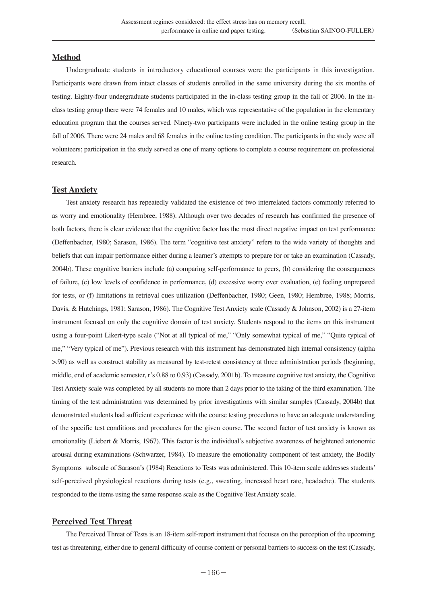# **Method**

Undergraduate students in introductory educational courses were the participants in this investigation. Participants were drawn from intact classes of students enrolled in the same university during the six months of testing. Eighty-four undergraduate students participated in the in-class testing group in the fall of 2006. In the inclass testing group there were 74 females and 10 males, which was representative of the population in the elementary education program that the courses served. Ninety-two participants were included in the online testing group in the fall of 2006. There were 24 males and 68 females in the online testing condition. The participants in the study were all volunteers; participation in the study served as one of many options to complete a course requirement on professional research.

#### **Test Anxiety**

Test anxiety research has repeatedly validated the existence of two interrelated factors commonly referred to as worry and emotionality (Hembree, 1988). Although over two decades of research has confirmed the presence of both factors, there is clear evidence that the cognitive factor has the most direct negative impact on test performance (Deffenbacher, 1980; Sarason, 1986). The term "cognitive test anxiety" refers to the wide variety of thoughts and beliefs that can impair performance either during a learner's attempts to prepare for or take an examination (Cassady, 2004b). These cognitive barriers include (a) comparing self-performance to peers, (b) considering the consequences of failure, (c) low levels of confidence in performance, (d) excessive worry over evaluation, (e) feeling unprepared for tests, or (f) limitations in retrieval cues utilization (Deffenbacher, 1980; Geen, 1980; Hembree, 1988; Morris, Davis, & Hutchings, 1981; Sarason, 1986). The Cognitive Test Anxiety scale (Cassady & Johnson, 2002) is a 27-item instrument focused on only the cognitive domain of test anxiety. Students respond to the items on this instrument using a four-point Likert-type scale ("Not at all typical of me," "Only somewhat typical of me," "Quite typical of me," "Very typical of me"). Previous research with this instrument has demonstrated high internal consistency (alpha >.90) as well as construct stability as measured by test-retest consistency at three administration periods (beginning, middle, end of academic semester, r's 0.88 to 0.93) (Cassady, 2001b). To measure cognitive test anxiety, the Cognitive Test Anxiety scale was completed by all students no more than 2 days prior to the taking of the third examination. The timing of the test administration was determined by prior investigations with similar samples (Cassady, 2004b) that demonstrated students had sufficient experience with the course testing procedures to have an adequate understanding of the specific test conditions and procedures for the given course. The second factor of test anxiety is known as emotionality (Liebert & Morris, 1967). This factor is the individual's subjective awareness of heightened autonomic arousal during examinations (Schwarzer, 1984). To measure the emotionality component of test anxiety, the Bodily Symptoms subscale of Sarason's (1984) Reactions to Tests was administered. This 10-item scale addresses students' self-perceived physiological reactions during tests (e.g., sweating, increased heart rate, headache). The students responded to the items using the same response scale as the Cognitive Test Anxiety scale.

# **Perceived Test Threat**

The Perceived Threat of Tests is an 18-item self-report instrument that focuses on the perception of the upcoming test as threatening, either due to general difficulty of course content or personal barriers to success on the test (Cassady,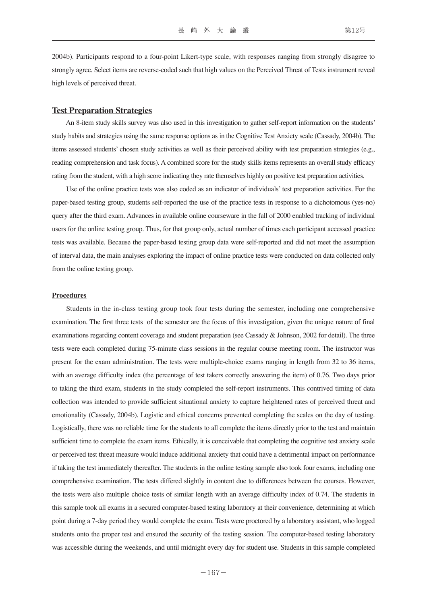2004b). Participants respond to a four-point Likert-type scale, with responses ranging from strongly disagree to strongly agree. Select items are reverse-coded such that high values on the Perceived Threat of Tests instrument reveal high levels of perceived threat.

#### **Test Preparation Strategies**

An 8-item study skills survey was also used in this investigation to gather self-report information on the students' study habits and strategies using the same response options as in the Cognitive Test Anxiety scale (Cassady, 2004b). The items assessed students' chosen study activities as well as their perceived ability with test preparation strategies (e.g., reading comprehension and task focus). A combined score for the study skills items represents an overall study efficacy rating from the student, with a high score indicating they rate themselves highly on positive test preparation activities.

Use of the online practice tests was also coded as an indicator of individuals' test preparation activities. For the paper-based testing group, students self-reported the use of the practice tests in response to a dichotomous (yes-no) query after the third exam. Advances in available online courseware in the fall of 2000 enabled tracking of individual users for the online testing group. Thus, for that group only, actual number of times each participant accessed practice tests was available. Because the paper-based testing group data were self-reported and did not meet the assumption of interval data, the main analyses exploring the impact of online practice tests were conducted on data collected only from the online testing group.

#### **Procedures**

Students in the in-class testing group took four tests during the semester, including one comprehensive examination. The first three tests of the semester are the focus of this investigation, given the unique nature of final examinations regarding content coverage and student preparation (see Cassady & Johnson, 2002 for detail). The three tests were each completed during 75-minute class sessions in the regular course meeting room. The instructor was present for the exam administration. The tests were multiple-choice exams ranging in length from 32 to 36 items, with an average difficulty index (the percentage of test takers correctly answering the item) of 0.76. Two days prior to taking the third exam, students in the study completed the self-report instruments. This contrived timing of data collection was intended to provide sufficient situational anxiety to capture heightened rates of perceived threat and emotionality (Cassady, 2004b). Logistic and ethical concerns prevented completing the scales on the day of testing. Logistically, there was no reliable time for the students to all complete the items directly prior to the test and maintain sufficient time to complete the exam items. Ethically, it is conceivable that completing the cognitive test anxiety scale or perceived test threat measure would induce additional anxiety that could have a detrimental impact on performance if taking the test immediately thereafter. The students in the online testing sample also took four exams, including one comprehensive examination. The tests differed slightly in content due to differences between the courses. However, the tests were also multiple choice tests of similar length with an average difficulty index of 0.74. The students in this sample took all exams in a secured computer-based testing laboratory at their convenience, determining at which point during a 7-day period they would complete the exam. Tests were proctored by a laboratory assistant, who logged students onto the proper test and ensured the security of the testing session. The computer-based testing laboratory was accessible during the weekends, and until midnight every day for student use. Students in this sample completed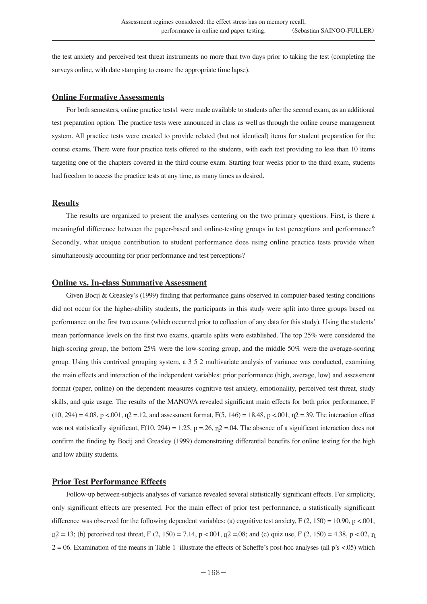the test anxiety and perceived test threat instruments no more than two days prior to taking the test (completing the surveys online, with date stamping to ensure the appropriate time lapse).

## **Online Formative Assessments**

For both semesters, online practice tests1 were made available to students after the second exam, as an additional test preparation option. The practice tests were announced in class as well as through the online course management system. All practice tests were created to provide related (but not identical) items for student preparation for the course exams. There were four practice tests offered to the students, with each test providing no less than 10 items targeting one of the chapters covered in the third course exam. Starting four weeks prior to the third exam, students had freedom to access the practice tests at any time, as many times as desired.

## **Results**

The results are organized to present the analyses centering on the two primary questions. First, is there a meaningful difference between the paper-based and online-testing groups in test perceptions and performance? Secondly, what unique contribution to student performance does using online practice tests provide when simultaneously accounting for prior performance and test perceptions?

# **Online vs. In-class Summative Assessment**

Given Bocij & Greasley's (1999) finding that performance gains observed in computer-based testing conditions did not occur for the higher-ability students, the participants in this study were split into three groups based on performance on the first two exams (which occurred prior to collection of any data for this study). Using the students' mean performance levels on the first two exams, quartile splits were established. The top 25% were considered the high-scoring group, the bottom 25% were the low-scoring group, and the middle 50% were the average-scoring group. Using this contrived grouping system, a 3 5 2 multivariate analysis of variance was conducted, examining the main effects and interaction of the independent variables: prior performance (high, average, low) and assessment format (paper, online) on the dependent measures cognitive test anxiety, emotionality, perceived test threat, study skills, and quiz usage. The results of the MANOVA revealed significant main effects for both prior performance, F  $(10, 294) = 4.08$ , p <.001,  $p = 12$ , and assessment format, F(5, 146) = 18.48, p <.001,  $p = 39$ . The interaction effect was not statistically significant,  $F(10, 294) = 1.25$ ,  $p = .26$ ,  $p = .04$ . The absence of a significant interaction does not confirm the finding by Bocij and Greasley (1999) demonstrating differential benefits for online testing for the high and low ability students.

# **Prior Test Performance Effects**

Follow-up between-subjects analyses of variance revealed several statistically significant effects. For simplicity, only significant effects are presented. For the main effect of prior test performance, a statistically significant difference was observed for the following dependent variables: (a) cognitive test anxiety,  $F(2, 150) = 10.90$ ,  $p < .001$ ,  $p_1$ 2 = 13; (b) perceived test threat, F (2, 150) = 7.14, p < 001,  $p_1$ 2 = 08; and (c) quiz use, F (2, 150) = 4.38, p < 02,  $p_1$  $2 = 06$ . Examination of the means in Table 1 illustrate the effects of Scheffe's post-hoc analyses (all p's <.05) which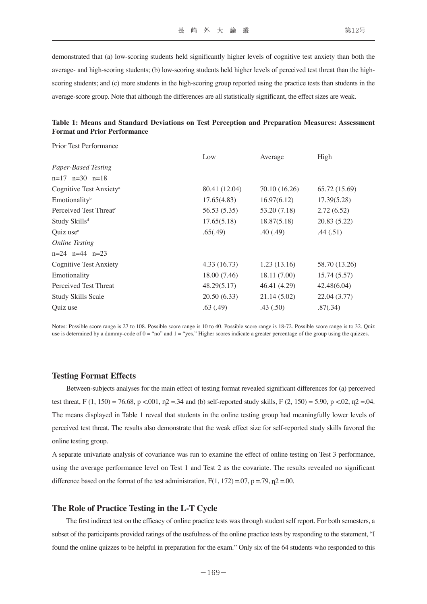demonstrated that (a) low-scoring students held significantly higher levels of cognitive test anxiety than both the average- and high-scoring students; (b) low-scoring students held higher levels of perceived test threat than the highscoring students; and (c) more students in the high-scoring group reported using the practice tests than students in the average-score group. Note that although the differences are all statistically significant, the effect sizes are weak.

# **Table 1: Means and Standard Deviations on Test Perception and Preparation Measures: Assessment Format and Prior Performance**

Prior Test Performance

|                                     | Low           | Average       | High          |
|-------------------------------------|---------------|---------------|---------------|
| Paper-Based Testing                 |               |               |               |
| $n=17$ $n=30$ $n=18$                |               |               |               |
| Cognitive Test Anxiety <sup>a</sup> | 80.41 (12.04) | 70.10 (16.26) | 65.72 (15.69) |
| Emotionality <sup>b</sup>           | 17.65(4.83)   | 16.97(6.12)   | 17.39(5.28)   |
| Perceived Test Threat <sup>c</sup>  | 56.53 (5.35)  | 53.20 (7.18)  | 2.72(6.52)    |
| Study Skills <sup>d</sup>           | 17.65(5.18)   | 18.87(5.18)   | 20.83 (5.22)  |
| Quiz use <sup>e</sup>               | .65(.49)      | .40(.49)      | .44(.51)      |
| <b>Online Testing</b>               |               |               |               |
| $n=24$ $n=44$ $n=23$                |               |               |               |
| <b>Cognitive Test Anxiety</b>       | 4.33(16.73)   | 1.23(13.16)   | 58.70 (13.26) |
| Emotionality                        | 18.00 (7.46)  | 18.11 (7.00)  | 15.74(5.57)   |
| Perceived Test Threat               | 48.29(5.17)   | 46.41 (4.29)  | 42.48(6.04)   |
| <b>Study Skills Scale</b>           | 20.50(6.33)   | 21.14(5.02)   | 22.04 (3.77)  |
| Quiz use                            | .63(.49)      | .43(.50)      | .87(.34)      |
|                                     |               |               |               |

Notes: Possible score range is 27 to 108. Possible score range is 10 to 40. Possible score range is 18-72. Possible score range is to 32. Quiz use is determined by a dummy-code of 0 = "no" and 1 = "yes." Higher scores indicate a greater percentage of the group using the quizzes.

# **Testing Format Effects**

Between-subjects analyses for the main effect of testing format revealed significant differences for (a) perceived test threat, F (1, 150) = 76.68, p <.001,  $n^2$  = 34 and (b) self-reported study skills, F (2, 150) = 5.90, p <.02,  $n^2$  = 04. The means displayed in Table 1 reveal that students in the online testing group had meaningfully lower levels of perceived test threat. The results also demonstrate that the weak effect size for self-reported study skills favored the online testing group.

A separate univariate analysis of covariance was run to examine the effect of online testing on Test 3 performance, using the average performance level on Test 1 and Test 2 as the covariate. The results revealed no significant difference based on the format of the test administration,  $F(1, 172) = .07$ ,  $p = .79$ ,  $p = .00$ .

## **The Role of Practice Testing in the L-T Cycle**

The first indirect test on the efficacy of online practice tests was through student self report. For both semesters, a subset of the participants provided ratings of the usefulness of the online practice tests by responding to the statement, "I found the online quizzes to be helpful in preparation for the exam." Only six of the 64 students who responded to this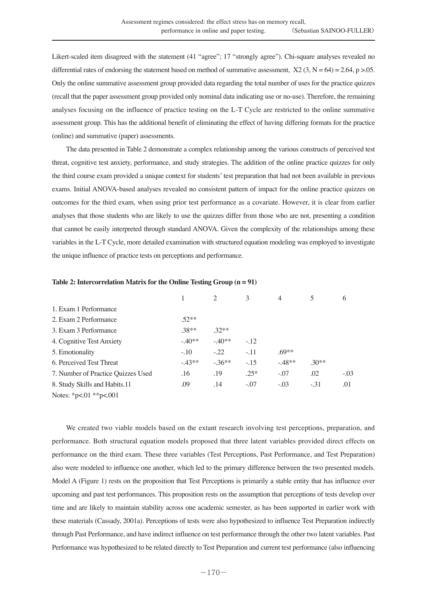Likert-scaled item disagreed with the statement (41 "agree"; 17 "strongly agree"). Chi-square analyses revealed no differential rates of endorsing the statement based on method of summative assessment,  $X2$  (3, N = 64) = 2.64, p > 0.5. Only the online summative assessment group provided data regarding the total number of uses for the practice quizzes (recall that the paper assessment group provided only nominal data indicating use or no-use). Therefore, the remaining analyses focusing on the influence of practice testing on the L-T Cycle are restricted to the online summative assessment group. This has the additional benefit of eliminating the effect of having differing formats for the practice (online) and summative (paper) assessments.

The data presented in Table 2 demonstrate a complex relationship among the various constructs of perceived test threat, cognitive test anxiety, performance, and study strategies. The addition of the online practice quizzes for only the third course exam provided a unique context for students' test preparation that had not been available in previous exams. Initial ANOVA-based analyses revealed no consistent pattern of impact for the online practice quizzes on outcomes for the third exam, when using prior test performance as a covariate. However, it is clear from earlier analyses that those students who are likely to use the quizzes differ from those who are not, presenting a condition that cannot be easily interpreted through standard ANOVA. Given the complexity of the relationships among these variables in the L-T Cycle, more detailed examination with structured equation modeling was employed to investigate the unique influence of practice tests on perceptions and performance.

|                                    |         |         | 3      |         |         | 6      |
|------------------------------------|---------|---------|--------|---------|---------|--------|
| 1. Exam 1 Performance              |         |         |        |         |         |        |
| 2. Exam 2 Performance              | $52**$  |         |        |         |         |        |
| 3. Exam 3 Performance              | $38**$  | $32**$  |        |         |         |        |
| 4. Cognitive Test Anxiety          | $-40**$ | $-40**$ | $-12$  |         |         |        |
| 5. Emotionality                    | $-.10$  | $-.22$  | $-.11$ | $69**$  |         |        |
| 6. Perceived Test Threat           | $-43**$ | $-36**$ | $-.15$ | $-48**$ | $.30**$ |        |
| 7. Number of Practice Quizzes Used | .16     | .19     | $.25*$ | $-.07$  | .02     | $-.03$ |
| 8. Study Skills and Habits.11      | .09     | .14     | $-.07$ | $-.03$  | $-.31$  | .01    |
| Notes: *p<.01 **p<.001             |         |         |        |         |         |        |

#### **Table 2: Intercorrelation Matrix for the Online Testing Group (n = 91)**

We created two viable models based on the extant research involving test perceptions, preparation, and performance. Both structural equation models proposed that three latent variables provided direct effects on performance on the third exam. These three variables (Test Perceptions, Past Performance, and Test Preparation) also were modeled to influence one another, which led to the primary difference between the two presented models. Model A (Figure 1) rests on the proposition that Test Perceptions is primarily a stable entity that has influence over upcoming and past test performances. This proposition rests on the assumption that perceptions of tests develop over time and are likely to maintain stability across one academic semester, as has been supported in earlier work with these materials (Cassady, 2001a). Perceptions of tests were also hypothesized to influence Test Preparation indirectly through Past Performance, and have indirect influence on test performance through the other two latent variables. Past Performance was hypothesized to be related directly to Test Preparation and current test performance (also influencing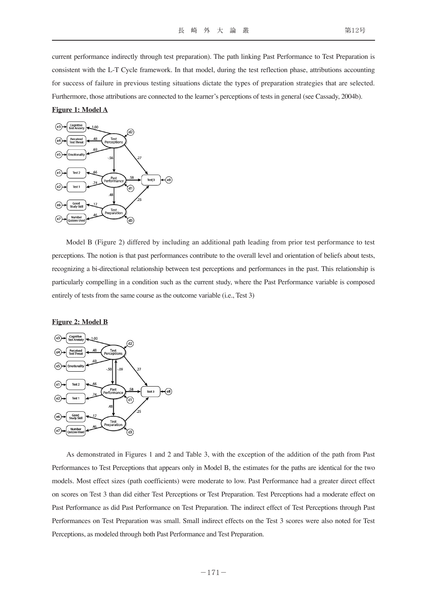current performance indirectly through test preparation). The path linking Past Performance to Test Preparation is consistent with the L-T Cycle framework. In that model, during the test reflection phase, attributions accounting for success of failure in previous testing situations dictate the types of preparation strategies that are selected. Furthermore, those attributions are connected to the learner's perceptions of tests in general (see Cassady, 2004b).

#### **Figure 1: Model A**



Model B (Figure 2) differed by including an additional path leading from prior test performance to test perceptions. The notion is that past performances contribute to the overall level and orientation of beliefs about tests, recognizing a bi-directional relationship between test perceptions and performances in the past. This relationship is particularly compelling in a condition such as the current study, where the Past Performance variable is composed entirely of tests from the same course as the outcome variable (i.e., Test 3)

#### **Figure 2: Model B**



As demonstrated in Figures 1 and 2 and Table 3, with the exception of the addition of the path from Past Performances to Test Perceptions that appears only in Model B, the estimates for the paths are identical for the two models. Most effect sizes (path coefficients) were moderate to low. Past Performance had a greater direct effect on scores on Test 3 than did either Test Perceptions or Test Preparation. Test Perceptions had a moderate effect on Past Performance as did Past Performance on Test Preparation. The indirect effect of Test Perceptions through Past Performances on Test Preparation was small. Small indirect effects on the Test 3 scores were also noted for Test Perceptions, as modeled through both Past Performance and Test Preparation.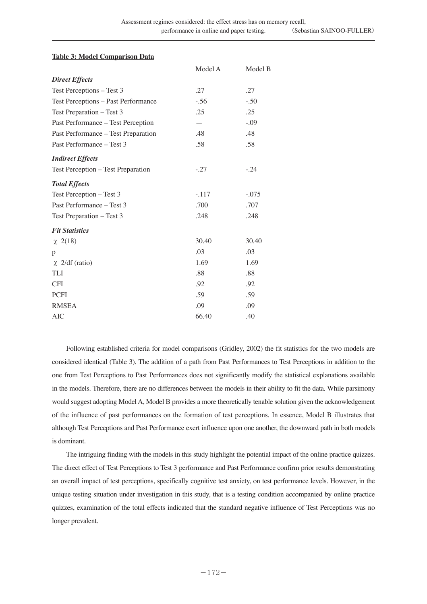# **Table 3: Model Comparison Data**

|                                     | Model A                  | Model B |
|-------------------------------------|--------------------------|---------|
| <b>Direct Effects</b>               |                          |         |
| Test Perceptions - Test 3           | .27                      | .27     |
| Test Perceptions - Past Performance | $-.56$                   | $-.50$  |
| Test Preparation - Test 3           | .25                      | .25     |
| Past Performance - Test Perception  | $\overline{\phantom{0}}$ | $-.09$  |
| Past Performance - Test Preparation | .48                      | .48     |
| Past Performance - Test 3           | .58                      | .58     |
| <b>Indirect Effects</b>             |                          |         |
| Test Perception - Test Preparation  | $-.27$                   | $-.24$  |
| <b>Total Effects</b>                |                          |         |
| Test Perception - Test 3            | $-.117$                  | $-.075$ |
| Past Performance - Test 3           | .700                     | .707    |
| Test Preparation - Test 3           | .248                     | .248    |
| <b>Fit Statistics</b>               |                          |         |
| $\chi$ 2(18)                        | 30.40                    | 30.40   |
| p                                   | .03                      | .03     |
| $\chi$ 2/df (ratio)                 | 1.69                     | 1.69    |
| TLI                                 | .88                      | .88     |
| <b>CFI</b>                          | .92                      | .92     |
| <b>PCFI</b>                         | .59                      | .59     |
| <b>RMSEA</b>                        | .09                      | .09     |
| AIC                                 | 66.40                    | .40     |

Following established criteria for model comparisons (Gridley, 2002) the fit statistics for the two models are considered identical (Table 3). The addition of a path from Past Performances to Test Perceptions in addition to the one from Test Perceptions to Past Performances does not significantly modify the statistical explanations available in the models. Therefore, there are no differences between the models in their ability to fit the data. While parsimony would suggest adopting Model A, Model B provides a more theoretically tenable solution given the acknowledgement of the influence of past performances on the formation of test perceptions. In essence, Model B illustrates that although Test Perceptions and Past Performance exert influence upon one another, the downward path in both models is dominant.

The intriguing finding with the models in this study highlight the potential impact of the online practice quizzes. The direct effect of Test Perceptions to Test 3 performance and Past Performance confirm prior results demonstrating an overall impact of test perceptions, specifically cognitive test anxiety, on test performance levels. However, in the unique testing situation under investigation in this study, that is a testing condition accompanied by online practice quizzes, examination of the total effects indicated that the standard negative influence of Test Perceptions was no longer prevalent.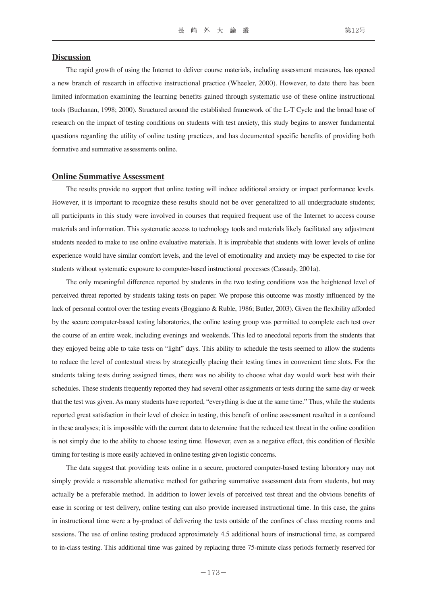#### **Discussion**

The rapid growth of using the Internet to deliver course materials, including assessment measures, has opened a new branch of research in effective instructional practice (Wheeler, 2000). However, to date there has been limited information examining the learning benefits gained through systematic use of these online instructional tools (Buchanan, 1998; 2000). Structured around the established framework of the L-T Cycle and the broad base of research on the impact of testing conditions on students with test anxiety, this study begins to answer fundamental questions regarding the utility of online testing practices, and has documented specific benefits of providing both formative and summative assessments online.

#### **Online Summative Assessment**

The results provide no support that online testing will induce additional anxiety or impact performance levels. However, it is important to recognize these results should not be over generalized to all undergraduate students; all participants in this study were involved in courses that required frequent use of the Internet to access course materials and information. This systematic access to technology tools and materials likely facilitated any adjustment students needed to make to use online evaluative materials. It is improbable that students with lower levels of online experience would have similar comfort levels, and the level of emotionality and anxiety may be expected to rise for students without systematic exposure to computer-based instructional processes (Cassady, 2001a).

The only meaningful difference reported by students in the two testing conditions was the heightened level of perceived threat reported by students taking tests on paper. We propose this outcome was mostly influenced by the lack of personal control over the testing events (Boggiano & Ruble, 1986; Butler, 2003). Given the flexibility afforded by the secure computer-based testing laboratories, the online testing group was permitted to complete each test over the course of an entire week, including evenings and weekends. This led to anecdotal reports from the students that they enjoyed being able to take tests on "light" days. This ability to schedule the tests seemed to allow the students to reduce the level of contextual stress by strategically placing their testing times in convenient time slots. For the students taking tests during assigned times, there was no ability to choose what day would work best with their schedules. These students frequently reported they had several other assignments or tests during the same day or week that the test was given. As many students have reported, "everything is due at the same time." Thus, while the students reported great satisfaction in their level of choice in testing, this benefit of online assessment resulted in a confound in these analyses; it is impossible with the current data to determine that the reduced test threat in the online condition is not simply due to the ability to choose testing time. However, even as a negative effect, this condition of flexible timing for testing is more easily achieved in online testing given logistic concerns.

The data suggest that providing tests online in a secure, proctored computer-based testing laboratory may not simply provide a reasonable alternative method for gathering summative assessment data from students, but may actually be a preferable method. In addition to lower levels of perceived test threat and the obvious benefits of ease in scoring or test delivery, online testing can also provide increased instructional time. In this case, the gains in instructional time were a by-product of delivering the tests outside of the confines of class meeting rooms and sessions. The use of online testing produced approximately 4.5 additional hours of instructional time, as compared to in-class testing. This additional time was gained by replacing three 75-minute class periods formerly reserved for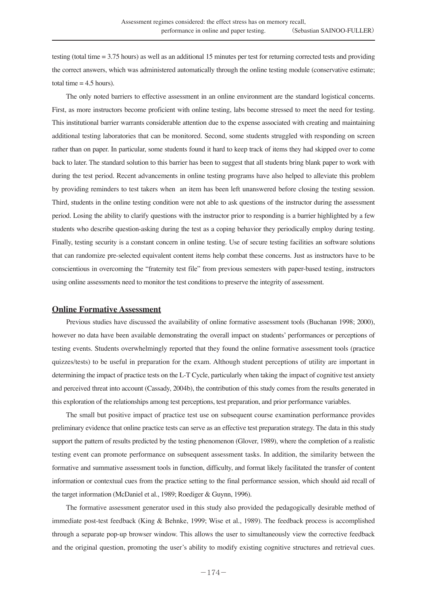testing (total time = 3.75 hours) as well as an additional 15 minutes per test for returning corrected tests and providing the correct answers, which was administered automatically through the online testing module (conservative estimate; total time  $= 4.5$  hours).

The only noted barriers to effective assessment in an online environment are the standard logistical concerns. First, as more instructors become proficient with online testing, labs become stressed to meet the need for testing. This institutional barrier warrants considerable attention due to the expense associated with creating and maintaining additional testing laboratories that can be monitored. Second, some students struggled with responding on screen rather than on paper. In particular, some students found it hard to keep track of items they had skipped over to come back to later. The standard solution to this barrier has been to suggest that all students bring blank paper to work with during the test period. Recent advancements in online testing programs have also helped to alleviate this problem by providing reminders to test takers when an item has been left unanswered before closing the testing session. Third, students in the online testing condition were not able to ask questions of the instructor during the assessment period. Losing the ability to clarify questions with the instructor prior to responding is a barrier highlighted by a few students who describe question-asking during the test as a coping behavior they periodically employ during testing. Finally, testing security is a constant concern in online testing. Use of secure testing facilities an software solutions that can randomize pre-selected equivalent content items help combat these concerns. Just as instructors have to be conscientious in overcoming the "fraternity test file" from previous semesters with paper-based testing, instructors using online assessments need to monitor the test conditions to preserve the integrity of assessment.

#### **Online Formative Assessment**

Previous studies have discussed the availability of online formative assessment tools (Buchanan 1998; 2000), however no data have been available demonstrating the overall impact on students' performances or perceptions of testing events. Students overwhelmingly reported that they found the online formative assessment tools (practice quizzes/tests) to be useful in preparation for the exam. Although student perceptions of utility are important in determining the impact of practice tests on the L-T Cycle, particularly when taking the impact of cognitive test anxiety and perceived threat into account (Cassady, 2004b), the contribution of this study comes from the results generated in this exploration of the relationships among test perceptions, test preparation, and prior performance variables.

The small but positive impact of practice test use on subsequent course examination performance provides preliminary evidence that online practice tests can serve as an effective test preparation strategy. The data in this study support the pattern of results predicted by the testing phenomenon (Glover, 1989), where the completion of a realistic testing event can promote performance on subsequent assessment tasks. In addition, the similarity between the formative and summative assessment tools in function, difficulty, and format likely facilitated the transfer of content information or contextual cues from the practice setting to the final performance session, which should aid recall of the target information (McDaniel et al., 1989; Roediger & Guynn, 1996).

The formative assessment generator used in this study also provided the pedagogically desirable method of immediate post-test feedback (King & Behnke, 1999; Wise et al., 1989). The feedback process is accomplished through a separate pop-up browser window. This allows the user to simultaneously view the corrective feedback and the original question, promoting the user's ability to modify existing cognitive structures and retrieval cues.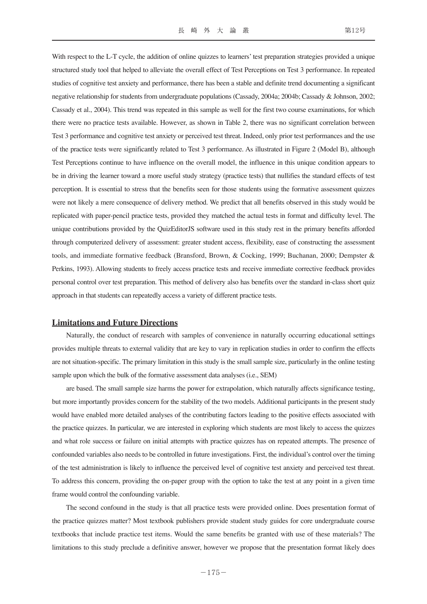With respect to the L-T cycle, the addition of online quizzes to learners' test preparation strategies provided a unique structured study tool that helped to alleviate the overall effect of Test Perceptions on Test 3 performance. In repeated studies of cognitive test anxiety and performance, there has been a stable and definite trend documenting a significant negative relationship for students from undergraduate populations (Cassady, 2004a; 2004b; Cassady & Johnson, 2002; Cassady et al., 2004). This trend was repeated in this sample as well for the first two course examinations, for which there were no practice tests available. However, as shown in Table 2, there was no significant correlation between Test 3 performance and cognitive test anxiety or perceived test threat. Indeed, only prior test performances and the use of the practice tests were significantly related to Test 3 performance. As illustrated in Figure 2 (Model B), although Test Perceptions continue to have influence on the overall model, the influence in this unique condition appears to be in driving the learner toward a more useful study strategy (practice tests) that nullifies the standard effects of test perception. It is essential to stress that the benefits seen for those students using the formative assessment quizzes were not likely a mere consequence of delivery method. We predict that all benefits observed in this study would be replicated with paper-pencil practice tests, provided they matched the actual tests in format and difficulty level. The unique contributions provided by the QuizEditorJS software used in this study rest in the primary benefits afforded through computerized delivery of assessment: greater student access, flexibility, ease of constructing the assessment tools, and immediate formative feedback (Bransford, Brown, & Cocking, 1999; Buchanan, 2000; Dempster & Perkins, 1993). Allowing students to freely access practice tests and receive immediate corrective feedback provides personal control over test preparation. This method of delivery also has benefits over the standard in-class short quiz approach in that students can repeatedly access a variety of different practice tests.

#### **Limitations and Future Directions**

Naturally, the conduct of research with samples of convenience in naturally occurring educational settings provides multiple threats to external validity that are key to vary in replication studies in order to confirm the effects are not situation-specific. The primary limitation in this study is the small sample size, particularly in the online testing sample upon which the bulk of the formative assessment data analyses (i.e., SEM)

are based. The small sample size harms the power for extrapolation, which naturally affects significance testing, but more importantly provides concern for the stability of the two models. Additional participants in the present study would have enabled more detailed analyses of the contributing factors leading to the positive effects associated with the practice quizzes. In particular, we are interested in exploring which students are most likely to access the quizzes and what role success or failure on initial attempts with practice quizzes has on repeated attempts. The presence of confounded variables also needs to be controlled in future investigations. First, the individual's control over the timing of the test administration is likely to influence the perceived level of cognitive test anxiety and perceived test threat. To address this concern, providing the on-paper group with the option to take the test at any point in a given time frame would control the confounding variable.

The second confound in the study is that all practice tests were provided online. Does presentation format of the practice quizzes matter? Most textbook publishers provide student study guides for core undergraduate course textbooks that include practice test items. Would the same benefits be granted with use of these materials? The limitations to this study preclude a definitive answer, however we propose that the presentation format likely does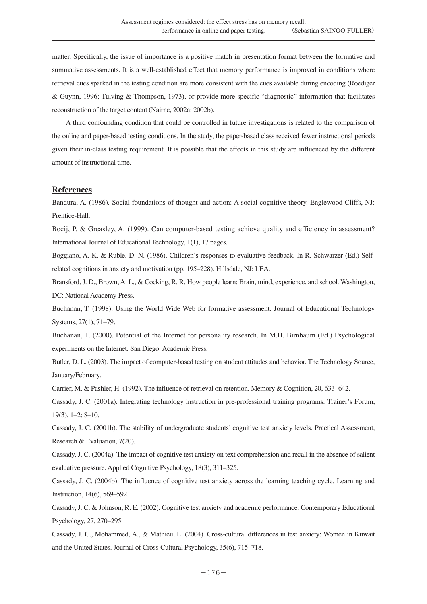matter. Specifically, the issue of importance is a positive match in presentation format between the formative and summative assessments. It is a well-established effect that memory performance is improved in conditions where retrieval cues sparked in the testing condition are more consistent with the cues available during encoding (Roediger & Guynn, 1996; Tulving & Thompson, 1973), or provide more specific "diagnostic" information that facilitates reconstruction of the target content (Nairne, 2002a; 2002b).

A third confounding condition that could be controlled in future investigations is related to the comparison of the online and paper-based testing conditions. In the study, the paper-based class received fewer instructional periods given their in-class testing requirement. It is possible that the effects in this study are influenced by the different amount of instructional time.

## **References**

Bandura, A. (1986). Social foundations of thought and action: A social-cognitive theory. Englewood Cliffs, NJ: Prentice-Hall.

Bocij, P. & Greasley, A. (1999). Can computer-based testing achieve quality and efficiency in assessment? International Journal of Educational Technology, 1(1), 17 pages.

Boggiano, A. K. & Ruble, D. N. (1986). Children's responses to evaluative feedback. In R. Schwarzer (Ed.) Selfrelated cognitions in anxiety and motivation (pp. 195–228). Hillsdale, NJ: LEA.

Bransford, J. D., Brown, A. L., & Cocking, R. R. How people learn: Brain, mind, experience, and school. Washington, DC: National Academy Press.

Buchanan, T. (1998). Using the World Wide Web for formative assessment. Journal of Educational Technology Systems, 27(1), 71–79.

Buchanan, T. (2000). Potential of the Internet for personality research. In M.H. Birnbaum (Ed.) Psychological experiments on the Internet. San Diego: Academic Press.

Butler, D. L. (2003). The impact of computer-based testing on student attitudes and behavior. The Technology Source, January/February.

Carrier, M. & Pashler, H. (1992). The influence of retrieval on retention. Memory & Cognition, 20, 633–642.

Cassady, J. C. (2001a). Integrating technology instruction in pre-professional training programs. Trainer's Forum, 19(3), 1–2; 8–10.

Cassady, J. C. (2001b). The stability of undergraduate students' cognitive test anxiety levels. Practical Assessment, Research & Evaluation, 7(20).

Cassady, J. C. (2004a). The impact of cognitive test anxiety on text comprehension and recall in the absence of salient evaluative pressure. Applied Cognitive Psychology, 18(3), 311–325.

Cassady, J. C. (2004b). The influence of cognitive test anxiety across the learning teaching cycle. Learning and Instruction, 14(6), 569–592.

Cassady, J. C. & Johnson, R. E. (2002). Cognitive test anxiety and academic performance. Contemporary Educational Psychology, 27, 270–295.

Cassady, J. C., Mohammed, A., & Mathieu, L. (2004). Cross-cultural differences in test anxiety: Women in Kuwait and the United States. Journal of Cross-Cultural Psychology, 35(6), 715–718.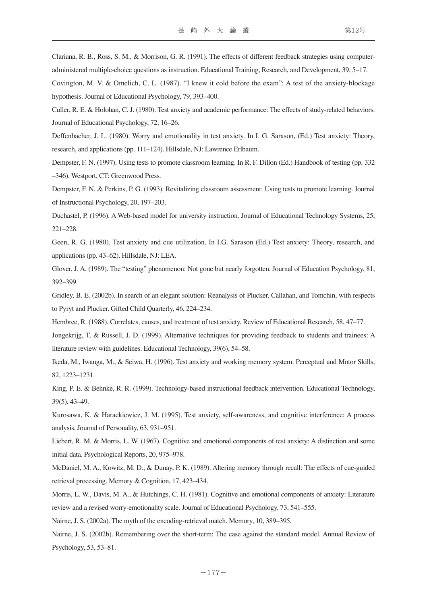Clariana, R. B., Ross, S. M., & Morrison, G. R. (1991). The effects of different feedback strategies using computeradministered multiple-choice questions as instruction. Educational Training, Research, and Development, 39, 5–17.

Covington, M. V. & Omelich, C. L. (1987). "I knew it cold before the exam": A test of the anxiety-blockage hypothesis. Journal of Educational Psychology, 79, 393–400.

Culler, R. E. & Holohan, C. J. (1980). Test anxiety and academic performance: The effects of study-related behaviors. Journal of Educational Psychology, 72, 16–26.

Deffenbacher, J. L. (1980). Worry and emotionality in test anxiety. In I. G. Sarason, (Ed.) Test anxiety: Theory, research, and applications (pp. 111–124). Hillsdale, NJ: Lawrence Erlbaum.

Dempster, F. N. (1997). Using tests to promote classroom learning. In R. F. Dillon (Ed.) Handbook of testing (pp. 332 –346). Westport, CT: Greenwood Press.

Dempster, F. N. & Perkins, P. G. (1993). Revitalizing classroom assessment: Using tests to promote learning. Journal of Instructional Psychology, 20, 197–203.

Duchastel, P. (1996). A Web-based model for university instruction. Journal of Educational Technology Systems, 25, 221–228.

Geen, R. G. (1980). Test anxiety and cue utilization. In I.G. Sarason (Ed.) Test anxiety: Theory, research, and applications (pp. 43–62). Hillsdale, NJ: LEA.

Glover, J. A. (1989). The "testing" phenomenon: Not gone but nearly forgotten. Journal of Education Psychology, 81, 392–399.

Gridley, B. E. (2002b). In search of an elegant solution: Reanalysis of Plucker, Callahan, and Tomchin, with respects to Pyryt and Plucker. Gifted Child Quarterly, 46, 224–234.

Hembree, R. (1988). Correlates, causes, and treatment of test anxiety. Review of Educational Research, 58, 47–77.

Jongekrijg, T. & Russell, J. D. (1999). Alternative techniques for providing feedback to students and trainees: A literature review with guidelines. Educational Technology, 39(6), 54–58.

Ikeda, M., Iwanga, M., & Seiwa, H. (1996). Test anxiety and working memory system. Perceptual and Motor Skills, 82, 1223–1231.

King, P. E. & Behnke, R. R. (1999). Technology-based instructional feedback intervention. Educational Technology, 39(5), 43–49.

Kurosawa, K. & Harackiewicz, J. M. (1995). Test anxiety, self-awareness, and cognitive interference: A process analysis. Journal of Personality, 63, 931–951.

Liebert, R. M. & Morris, L. W. (1967). Cognitive and emotional components of test anxiety: A distinction and some initial data. Psychological Reports, 20, 975–978.

McDaniel, M. A., Kowitz, M. D., & Dunay, P. K. (1989). Altering memory through recall: The effects of cue-guided retrieval processing. Memory & Cognition, 17, 423–434.

Morris, L. W., Davis, M. A., & Hutchings, C. H. (1981). Cognitive and emotional components of anxiety: Literature review and a revised worry-emotionality scale. Journal of Educational Psychology, 73, 541–555.

Nairne, J. S. (2002a). The myth of the encoding-retrieval match. Memory, 10, 389–395.

Nairne, J. S. (2002b). Remembering over the short-term: The case against the standard model. Annual Review of Psychology, 53, 53–81.